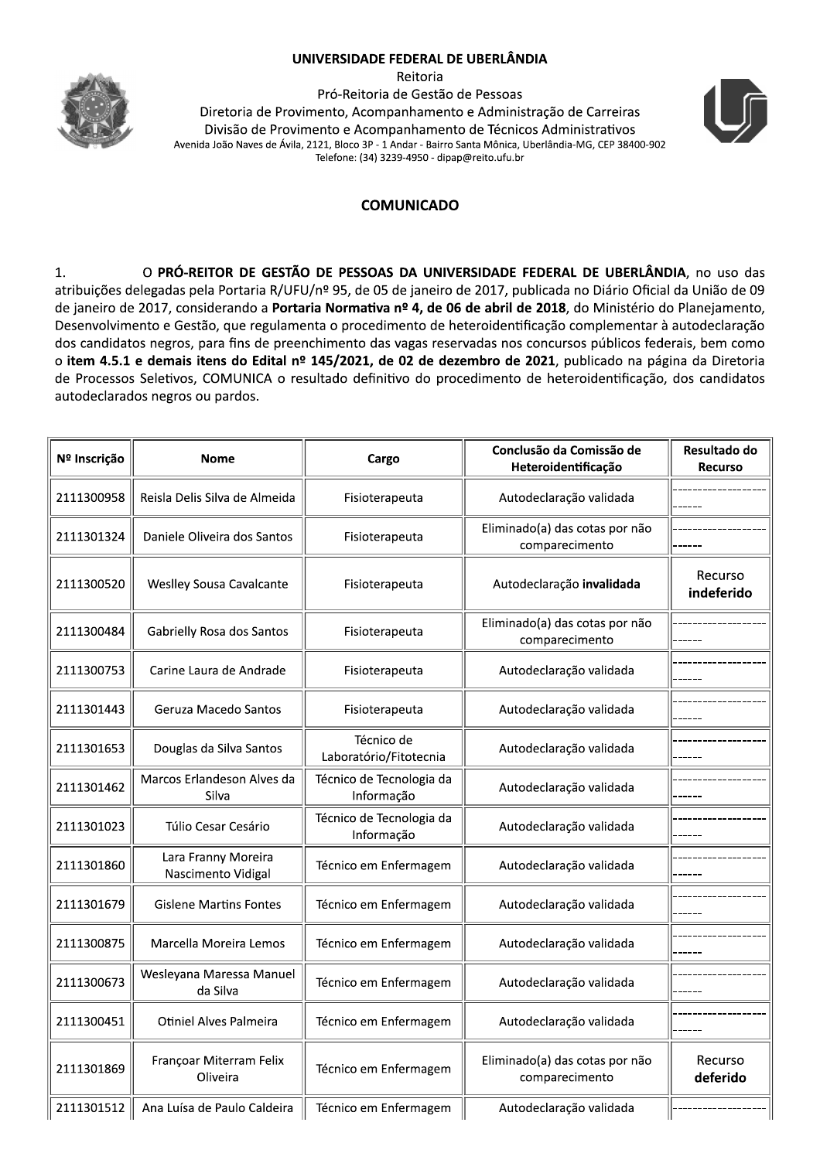## UNIVERSIDADE FEDERAL DE UBERLÂNDIA



Reitoria Pró-Reitoria de Gestão de Pessoas Diretoria de Provimento, Acompanhamento e Administração de Carreiras Divisão de Provimento e Acompanhamento de Técnicos Administrativos Avenida João Naves de Ávila, 2121, Bloco 3P - 1 Andar - Bairro Santa Mônica, Uberlândia-MG, CEP 38400-902 Telefone: (34) 3239-4950 - dipap@reito.ufu.br



## **COMUNICADO**

O PRÓ-REITOR DE GESTÃO DE PESSOAS DA UNIVERSIDADE FEDERAL DE UBERLÂNDIA, no uso das  $1.$ atribuições delegadas pela Portaria R/UFU/nº 95, de 05 de janeiro de 2017, publicada no Diário Oficial da União de 09 de janeiro de 2017, considerando a Portaria Normativa nº 4, de 06 de abril de 2018, do Ministério do Planejamento, Desenvolvimento e Gestão, que regulamenta o procedimento de heteroidentificação complementar à autodeclaração dos candidatos negros, para fins de preenchimento das vagas reservadas nos concursos públicos federais, bem como o item 4.5.1 e demais itens do Edital nº 145/2021, de 02 de dezembro de 2021, publicado na página da Diretoria de Processos Seletivos, COMUNICA o resultado definitivo do procedimento de heteroidentificação, dos candidatos autodeclarados negros ou pardos.

| Nº Inscrição | <b>Nome</b>                               | Cargo                                  | Conclusão da Comissão de<br>Heteroidentificação  | Resultado do<br><b>Recurso</b> |
|--------------|-------------------------------------------|----------------------------------------|--------------------------------------------------|--------------------------------|
| 2111300958   | Reisla Delis Silva de Almeida             | Fisioterapeuta                         | Autodeclaração validada                          |                                |
| 2111301324   | Daniele Oliveira dos Santos               | Fisioterapeuta                         | Eliminado(a) das cotas por não<br>comparecimento |                                |
| 2111300520   | Weslley Sousa Cavalcante                  | Fisioterapeuta                         | Autodeclaração invalidada                        | Recurso<br>indeferido          |
| 2111300484   | Gabrielly Rosa dos Santos                 | Fisioterapeuta                         | Eliminado(a) das cotas por não<br>comparecimento |                                |
| 2111300753   | Carine Laura de Andrade                   | Fisioterapeuta                         | Autodeclaração validada                          |                                |
| 2111301443   | Geruza Macedo Santos                      | Fisioterapeuta                         | Autodeclaração validada                          |                                |
| 2111301653   | Douglas da Silva Santos                   | Técnico de<br>Laboratório/Fitotecnia   | Autodeclaração validada                          |                                |
| 2111301462   | Marcos Erlandeson Alves da<br>Silva       | Técnico de Tecnologia da<br>Informação | Autodeclaração validada                          |                                |
| 2111301023   | Túlio Cesar Cesário                       | Técnico de Tecnologia da<br>Informação | Autodeclaração validada                          |                                |
| 2111301860   | Lara Franny Moreira<br>Nascimento Vidigal | Técnico em Enfermagem                  | Autodeclaração validada                          |                                |
| 2111301679   | <b>Gislene Martins Fontes</b>             | Técnico em Enfermagem                  | Autodeclaração validada                          |                                |
| 2111300875   | Marcella Moreira Lemos                    | Técnico em Enfermagem                  | Autodeclaração validada                          |                                |
| 2111300673   | Wesleyana Maressa Manuel<br>da Silva      | Técnico em Enfermagem                  | Autodeclaração validada                          |                                |
| 2111300451   | Otiniel Alves Palmeira                    | Técnico em Enfermagem                  | Autodeclaração validada                          |                                |
| 2111301869   | Françoar Miterram Felix<br>Oliveira       | Técnico em Enfermagem                  | Eliminado(a) das cotas por não<br>comparecimento | Recurso<br>deferido            |
| 2111301512   | Ana Luísa de Paulo Caldeira               | Técnico em Enfermagem                  | Autodeclaração validada                          |                                |